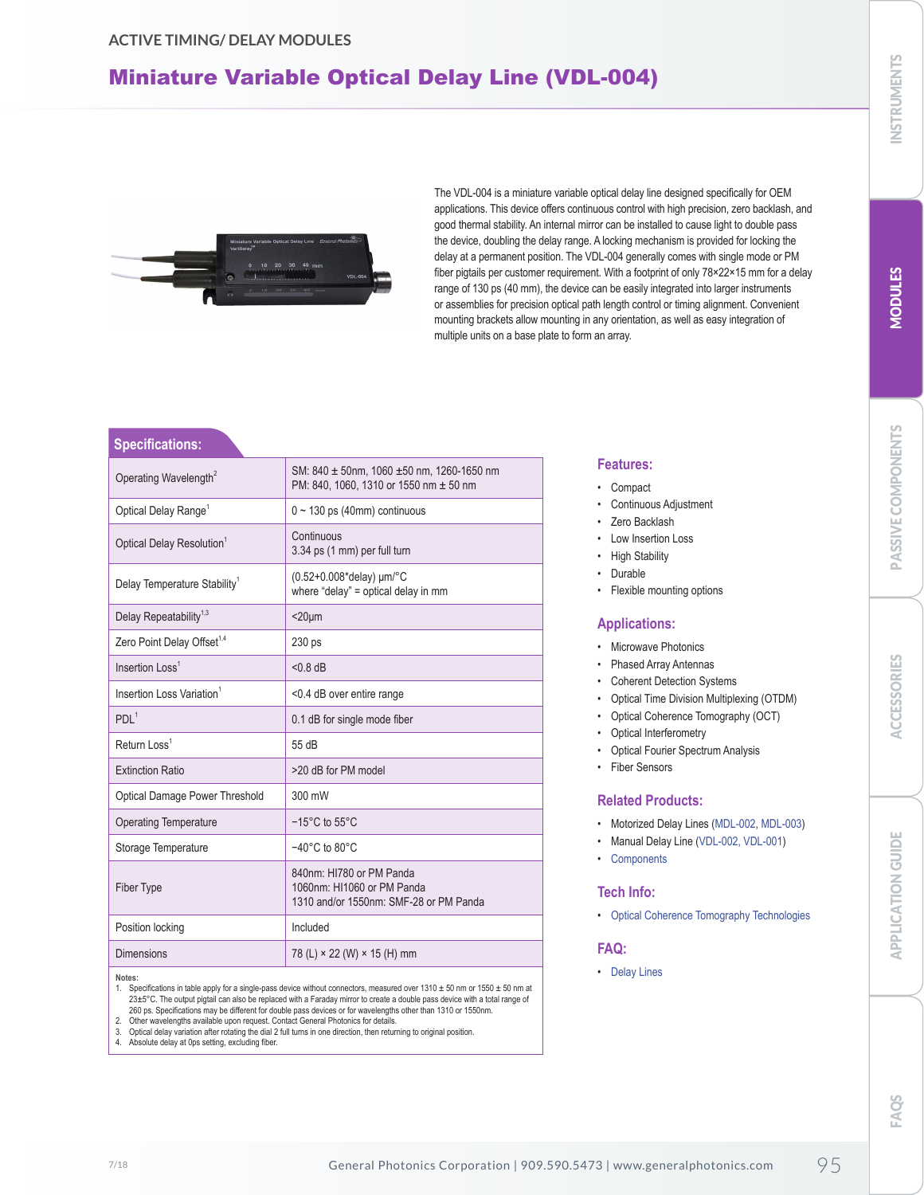## Miniature Variable Optical Delay Line (VDL-004)



The VDL-004 is a miniature variable optical delay line designed specifically for OEM applications. This device offers continuous control with high precision, zero backlash, and good thermal stability. An internal mirror can be installed to cause light to double pass the device, doubling the delay range. A locking mechanism is provided for locking the delay at a permanent position. The VDL-004 generally comes with single mode or PM fiber pigtails per customer requirement. With a footprint of only 78×22×15 mm for a delay range of 130 ps (40 mm), the device can be easily integrated into larger instruments or assemblies for precision optical path length control or timing alignment. Convenient mounting brackets allow mounting in any orientation, as well as easy integration of multiple units on a base plate to form an array.

#### **Specifications:**

| Operating Wavelength <sup>2</sup>        | SM: 840 $\pm$ 50nm, 1060 $\pm$ 50 nm, 1260-1650 nm<br>PM: 840, 1060, 1310 or 1550 nm ± 50 nm     |
|------------------------------------------|--------------------------------------------------------------------------------------------------|
| Optical Delay Range <sup>1</sup>         | $0 \sim 130$ ps (40mm) continuous                                                                |
| Optical Delay Resolution <sup>1</sup>    | Continuous<br>3.34 ps (1 mm) per full turn                                                       |
| Delay Temperature Stability <sup>1</sup> | (0.52+0.008*delay) $\mu$ m/°C<br>where "delay" = optical delay in mm                             |
| Delay Repeatability <sup>1,3</sup>       | $<$ 20 $\mu$ m                                                                                   |
| Zero Point Delay Offset <sup>1,4</sup>   | 230 ps                                                                                           |
| Insertion $l$ oss <sup>1</sup>           | $< 0.8$ dB                                                                                       |
| Insertion Loss Variation <sup>1</sup>    | <0.4 dB over entire range                                                                        |
| PDI <sup>1</sup>                         | 0.1 dB for single mode fiber                                                                     |
| Return Loss <sup>1</sup>                 | 55 dB                                                                                            |
| <b>Extinction Ratio</b>                  | >20 dB for PM model                                                                              |
| <b>Optical Damage Power Threshold</b>    | 300 mW                                                                                           |
| <b>Operating Temperature</b>             | $-15^{\circ}$ C to $55^{\circ}$ C                                                                |
| Storage Temperature                      | $-40^{\circ}$ C to 80 $^{\circ}$ C                                                               |
| <b>Fiber Type</b>                        | 840nm: HI780 or PM Panda<br>1060nm: HI1060 or PM Panda<br>1310 and/or 1550nm: SMF-28 or PM Panda |
| Position locking                         | Included                                                                                         |
| <b>Dimensions</b>                        | 78 (L) × 22 (W) × 15 (H) mm                                                                      |
|                                          |                                                                                                  |

**Notes:** 

1. Specifications in table apply for a single-pass device without connectors, measured over 1310 ± 50 nm or 1550 ± 50 nm at 23±5°C. The output pigtail can also be replaced with a Faraday mirror to create a double pass device with a total range of 260 ps. Specifications may be different for double pass devices or for wavelengths other than 1310 or 1550nm. 2. Other wavelengths available upon request. Contact General Photonics for details.

Optical delay variation after rotating the dial 2 full turns in one direction, then returning to original position.

Absolute delay at 0ps setting, excluding fiber.

#### **Features:**

- Compact
- Continuous Adjustment
- Zero Backlash
- Low Insertion Loss
- High Stability
- Durable
- Flexible mounting options

#### **Applications:**

- Microwave Photonics
- Phased Array Antennas
- Coherent Detection Systems
- Optical Time Division Multiplexing (OTDM)
- Optical Coherence Tomography (OCT)
- Optical Interferometry
- Optical Fourier Spectrum Analysis
- Fiber Sensors

#### **Related Products:**

- Motorized Delay Lines (MDL-002, MDL-003)
- Manual Delay Line (VDL-002, VDL-001)
- Components

#### **Tech Info:**

• Optical Coherence Tomography Technologies

#### **FAQ:**

• Delay Lines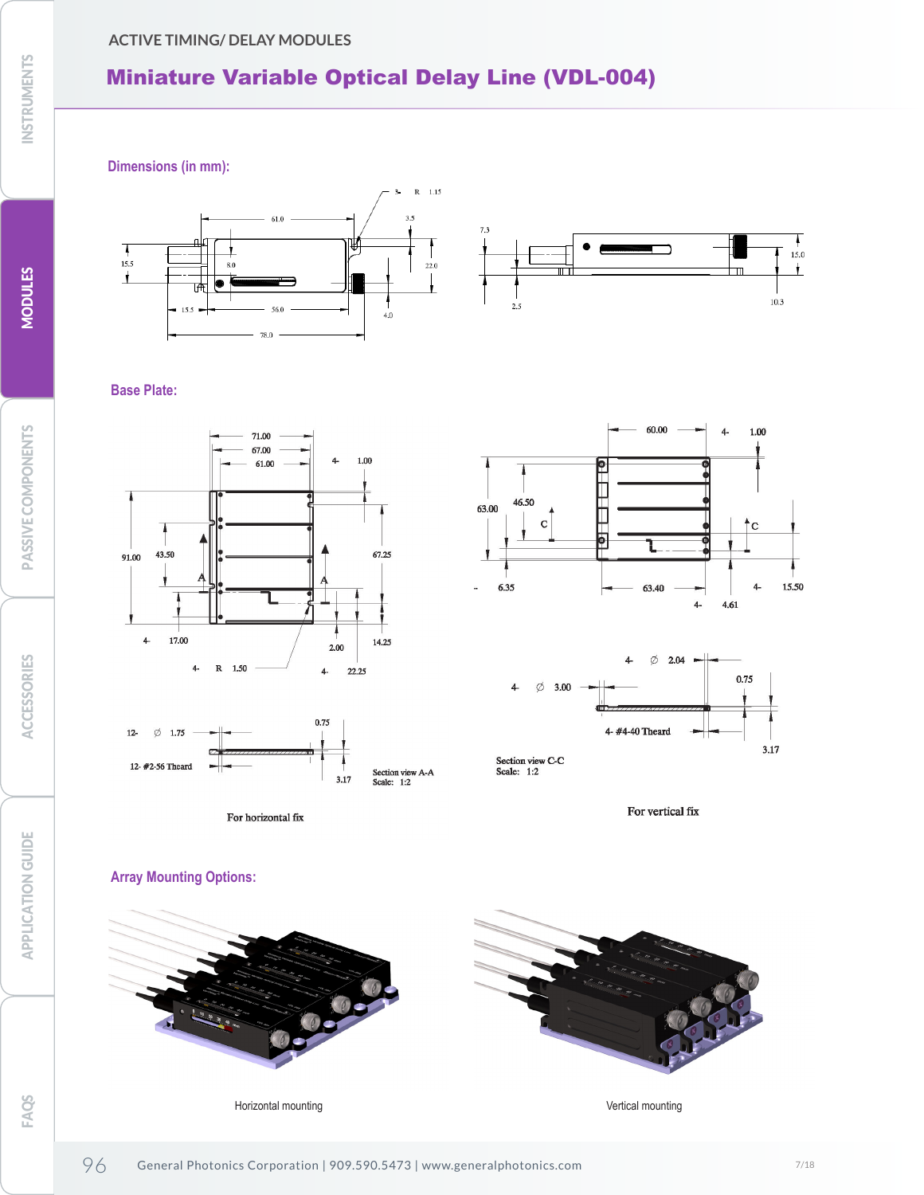### **ACTIVE TIMING/ DELAY MODULES**

# Miniature Variable Optical Delay Line (VDL-004)

**Dimensions (in mm):**





#### **Base Plate:**





For horizontal fix





Section view C-C<br>Scale: 1:2

For vertical fix

## **Array Mounting Options:**



Horizontal mounting **Vertical mounting**